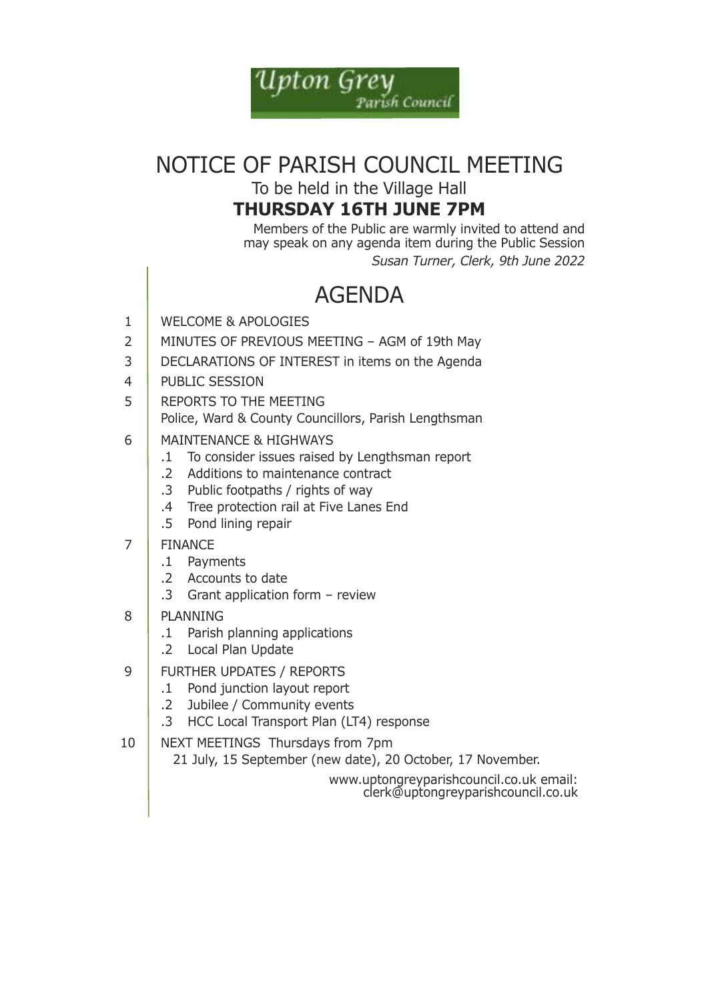

# NOTICE OF PARISH COUNCIL MEETING

To be held in the Village Hall

### **Thursday 16Th JuNE 7pm**

Members of the Public are warmly invited to attend and may speak on any agenda item during the Public Session *Susan Turner, Clerk, 9th June 2022*

## **AGENDA**

- 1 WELCOME & APOLOGIES
- 2 MINUTES OF PREVIOUS MEETING AGM of 19th May
- 3 DECLARATIONS OF INTEREST in items on the Agenda
- 4 | PUBLIC SESSION
- 5 REPORTS TO THE MEETING Police, ward & county councillors, Parish lengthsman
- 6 MaiNteNaNce & hiGhwaYs
	- .1 To consider issues raised by Lengthsman report
	- .2 additions to maintenance contract
	- .3 Public footpaths / rights of way
	- .4 Tree protection rail at Five Lanes End
	- .5 Pond lining repair
- 7 FINANCE
	- .1 Payments
	- .2 accounts to date
	- .3 Grant application form review
- 8 PlaNNiNG
	- .1 Parish planning applications
	- .2 Local Plan Update
- 9 | FURTHER UPDATES / REPORTS
	- .1 Pond junction layout report
	- .2 Jubilee / community events
	- .3 HCC Local Transport Plan (LT4) response
- 10 | NEXT MEETINGS Thursdays from 7pm 21 July, 15 september (new date), 20 october, 17 November.

www.uptongreyparishcouncil.co.uk email: clerk@uptongreyparishcouncil.co.uk